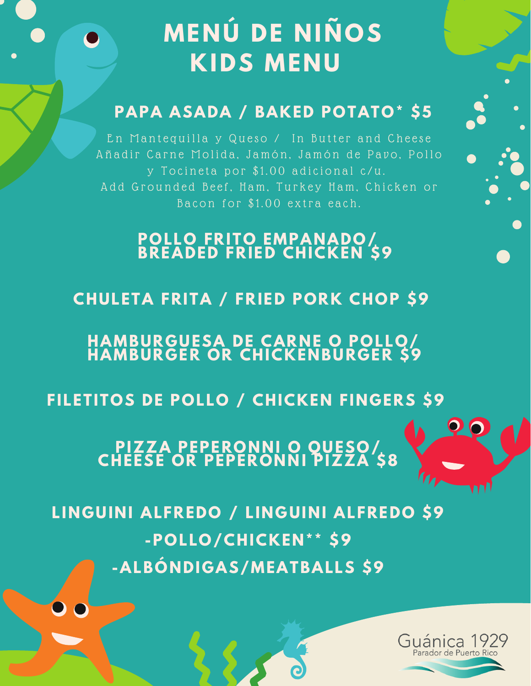# **MENÚ DE NIÑOS KIDS MENU**

### **PAPA ASADA / BAKED POTATO\* \$5**

En Mantequilla y Queso / In Butter and Cheese Añadir Carne Molida, Jamón, Jamón de Pavo, Pollo y Tocineta por \$1.00 adicional c/u. Add Grounded Beef, Ham, Turkey Ham, Chicken or Bacon for \$1.00 extra each.

# **POLLO FRITO EMPANADO/<br>BREADED FRIED CHICKEN \$9**

**CHULETA FRITA / FRIED PORK CHOP \$9** 

**HAMBURGUESA DE CARNE O POLLO/<br>HAMBURGER OR CHICKENBURGER \$9** 

FILETITOS DE POLLO / CHICKEN FINGERS \$9

PIZZA PEPERONNI O QUESO/<br>CHEESE OR PEPERONNI PIZZA S8

LINGUINI ALFREDO / LINGUINI ALFREDO \$9 -POLLO/CHICKEN\*\* \$9 -ALBÓNDIGAS/MEATBALLS \$9